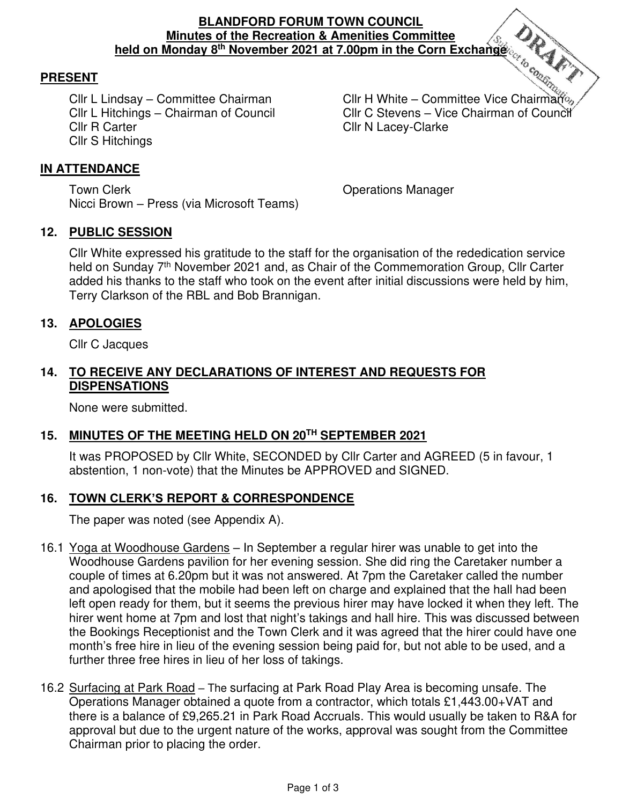### **BLANDFORD FORUM TOWN COUNCIL Minutes of the Recreation & Amenities Committee held on Monday 8th November 2021 at 7.00pm in the Corn Exchange**

### **PRESENT**

Cllr R Carter Clarke Cllr N Lacey-Clarke Cllr S Hitchings

Cllr L Lindsay – Committee Chairman Cllr H White – Committee Vice Chairman Cllr L Hitchings – Chairman of Council Cllr C Stevens – Vice Chairman of Council

#### <u>IN ATTENDANCE</u> Ē

Town Clerk **Town Clear** Clerk Contract Contract Clear Clear Contract Contract Contract Contract Contract Contract Contract Contract Contract Contract Contract Contract Contract Contract Contract Contract Contract Contract Nicci Brown – Press (via Microsoft Teams)

### **12. PUBLIC SESSION**

Cllr White expressed his gratitude to the staff for the organisation of the rededication service held on Sunday 7<sup>th</sup> November 2021 and, as Chair of the Commemoration Group, Cllr Carter added his thanks to the staff who took on the event after initial discussions were held by him, Terry Clarkson of the RBL and Bob Brannigan.

### **13. APOLOGIES**

Cllr C Jacques

### **14. TO RECEIVE ANY DECLARATIONS OF INTEREST AND REQUESTS FOR DISPENSATIONS**

None were submitted.

# **15. MINUTES OF THE MEETING HELD ON 20TH SEPTEMBER 2021**

It was PROPOSED by Cllr White, SECONDED by Cllr Carter and AGREED (5 in favour, 1 abstention, 1 non-vote) that the Minutes be APPROVED and SIGNED.

# **16. TOWN CLERK'S REPORT & CORRESPONDENCE**

The paper was noted (see Appendix A).

- 16.1 Yoga at Woodhouse Gardens In September a regular hirer was unable to get into the Woodhouse Gardens pavilion for her evening session. She did ring the Caretaker number a couple of times at 6.20pm but it was not answered. At 7pm the Caretaker called the number and apologised that the mobile had been left on charge and explained that the hall had been left open ready for them, but it seems the previous hirer may have locked it when they left. The hirer went home at 7pm and lost that night's takings and hall hire. This was discussed between the Bookings Receptionist and the Town Clerk and it was agreed that the hirer could have one month's free hire in lieu of the evening session being paid for, but not able to be used, and a further three free hires in lieu of her loss of takings.
- 16.2 Surfacing at Park Road The surfacing at Park Road Play Area is becoming unsafe. The Operations Manager obtained a quote from a contractor, which totals £1,443.00+VAT and there is a balance of £9,265.21 in Park Road Accruals. This would usually be taken to R&A for approval but due to the urgent nature of the works, approval was sought from the Committee Chairman prior to placing the order.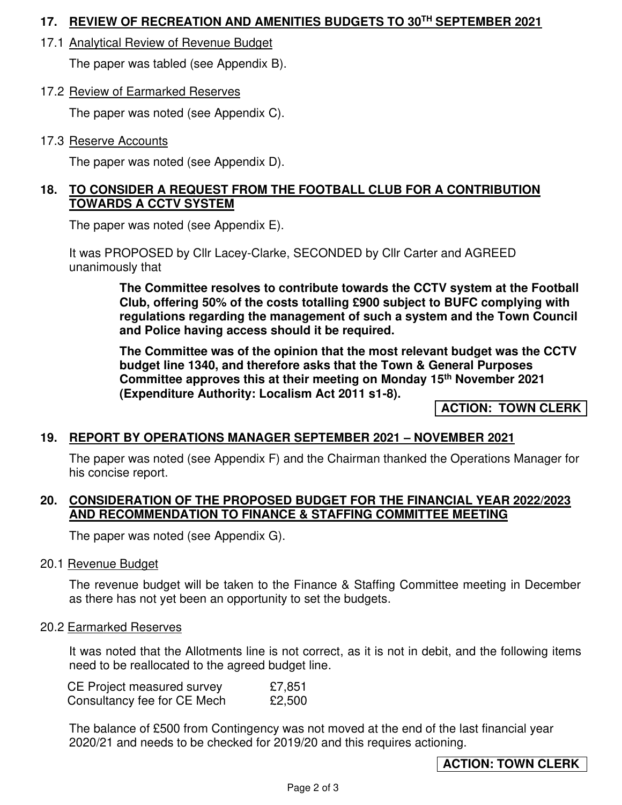# **17. REVIEW OF RECREATION AND AMENITIES BUDGETS TO 30TH SEPTEMBER 2021**

17.1 Analytical Review of Revenue Budget

The paper was tabled (see Appendix B).

17.2 Review of Earmarked Reserves

The paper was noted (see Appendix C).

17.3 Reserve Accounts

The paper was noted (see Appendix D).

# **18. TO CONSIDER A REQUEST FROM THE FOOTBALL CLUB FOR A CONTRIBUTION TOWARDS A CCTV SYSTEM**

The paper was noted (see Appendix E).

It was PROPOSED by Cllr Lacey-Clarke, SECONDED by Cllr Carter and AGREED unanimously that

> **The Committee resolves to contribute towards the CCTV system at the Football Club, offering 50% of the costs totalling £900 subject to BUFC complying with regulations regarding the management of such a system and the Town Council and Police having access should it be required.**

> **The Committee was of the opinion that the most relevant budget was the CCTV budget line 1340, and therefore asks that the Town & General Purposes Committee approves this at their meeting on Monday 15th November 2021 (Expenditure Authority: Localism Act 2011 s1-8).**

> > **ACTION: TOWN CLERK**

# **19. REPORT BY OPERATIONS MANAGER SEPTEMBER 2021 – NOVEMBER 2021**

The paper was noted (see Appendix F) and the Chairman thanked the Operations Manager for his concise report.

# **20. CONSIDERATION OF THE PROPOSED BUDGET FOR THE FINANCIAL YEAR 2022/2023 AND RECOMMENDATION TO FINANCE & STAFFING COMMITTEE MEETING**

The paper was noted (see Appendix G).

# 20.1 Revenue Budget

The revenue budget will be taken to the Finance & Staffing Committee meeting in December as there has not yet been an opportunity to set the budgets.

### 20.2 Earmarked Reserves

It was noted that the Allotments line is not correct, as it is not in debit, and the following items need to be reallocated to the agreed budget line.

| <b>CE Project measured survey</b> | £7,851 |
|-----------------------------------|--------|
| Consultancy fee for CE Mech       | £2,500 |

The balance of £500 from Contingency was not moved at the end of the last financial year 2020/21 and needs to be checked for 2019/20 and this requires actioning.

**ACTION: TOWN CLERK**